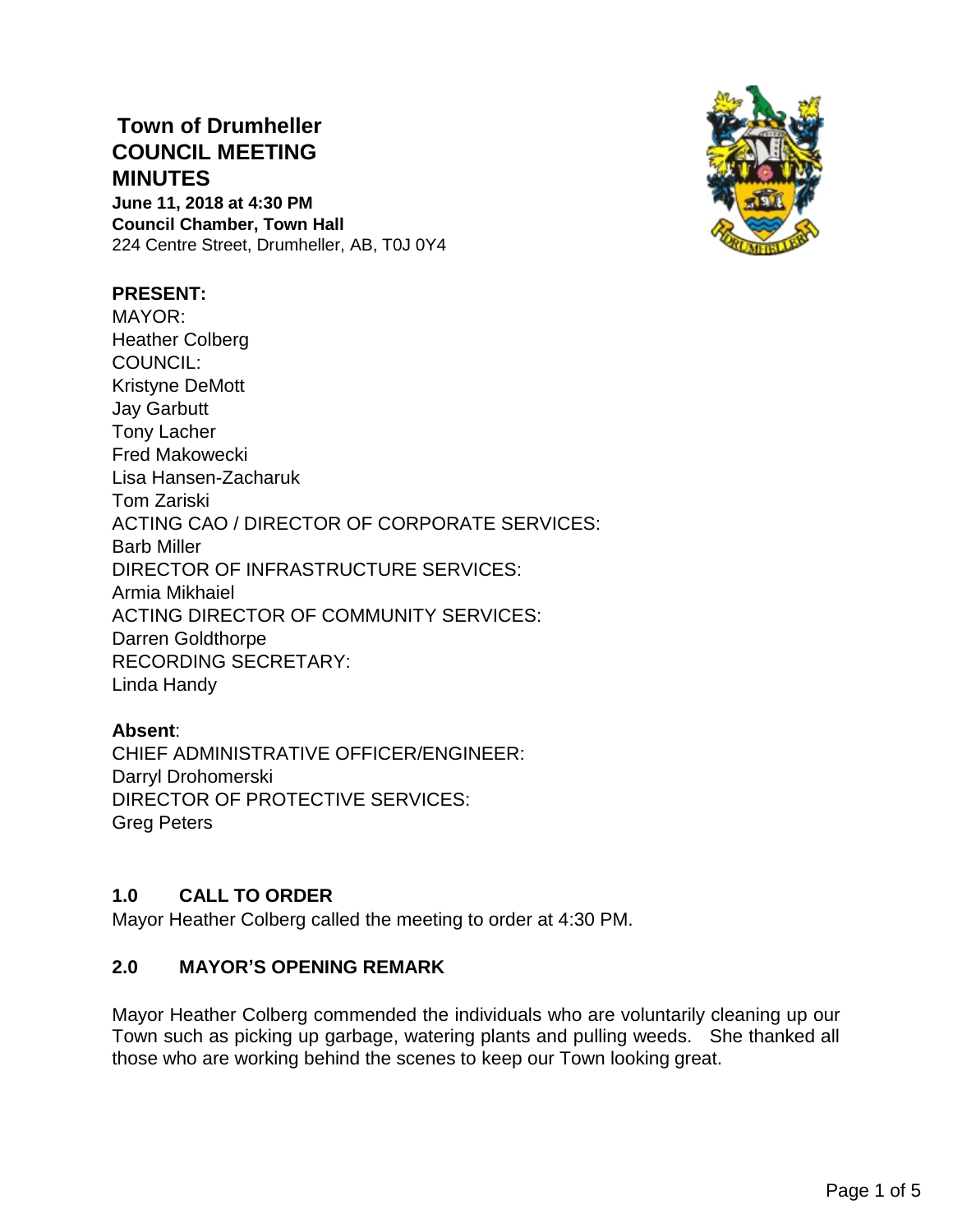## **Town of Drumheller COUNCIL MEETING MINUTES June 11, 2018 at 4:30 PM Council Chamber, Town Hall**

224 Centre Street, Drumheller, AB, T0J 0Y4

# **PRESENT:**

MAYOR: Heather Colberg COUNCIL: Kristyne DeMott Jay Garbutt Tony Lacher Fred Makowecki Lisa Hansen-Zacharuk Tom Zariski ACTING CAO / DIRECTOR OF CORPORATE SERVICES: Barb Miller DIRECTOR OF INFRASTRUCTURE SERVICES: Armia Mikhaiel ACTING DIRECTOR OF COMMUNITY SERVICES: Darren Goldthorpe RECORDING SECRETARY: Linda Handy

#### **Absent**:

CHIEF ADMINISTRATIVE OFFICER/ENGINEER: Darryl Drohomerski DIRECTOR OF PROTECTIVE SERVICES: Greg Peters

#### **1.0 CALL TO ORDER**

Mayor Heather Colberg called the meeting to order at 4:30 PM.

#### **2.0 MAYOR'S OPENING REMARK**

Mayor Heather Colberg commended the individuals who are voluntarily cleaning up our Town such as picking up garbage, watering plants and pulling weeds. She thanked all those who are working behind the scenes to keep our Town looking great.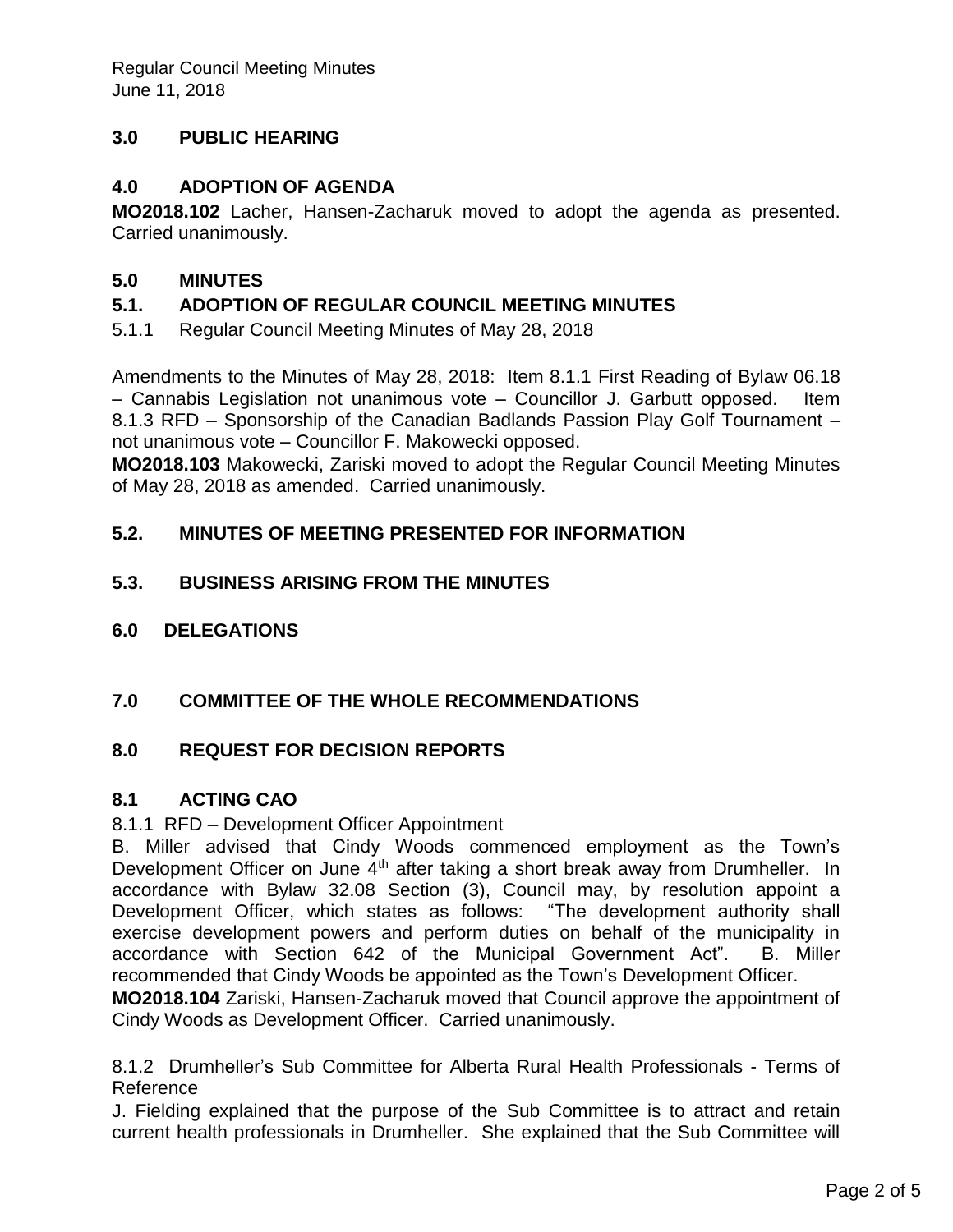## **3.0 PUBLIC HEARING**

### **4.0 ADOPTION OF AGENDA**

**MO2018.102** Lacher, Hansen-Zacharuk moved to adopt the agenda as presented. Carried unanimously.

### **5.0 MINUTES**

### **5.1. ADOPTION OF REGULAR COUNCIL MEETING MINUTES**

5.1.1 Regular Council Meeting Minutes of May 28, 2018

Amendments to the Minutes of May 28, 2018: Item 8.1.1 First Reading of Bylaw 06.18 – Cannabis Legislation not unanimous vote – Councillor J. Garbutt opposed. Item 8.1.3 RFD – Sponsorship of the Canadian Badlands Passion Play Golf Tournament – not unanimous vote – Councillor F. Makowecki opposed.

**MO2018.103** Makowecki, Zariski moved to adopt the Regular Council Meeting Minutes of May 28, 2018 as amended. Carried unanimously.

### **5.2. MINUTES OF MEETING PRESENTED FOR INFORMATION**

#### **5.3. BUSINESS ARISING FROM THE MINUTES**

**6.0 DELEGATIONS**

## **7.0 COMMITTEE OF THE WHOLE RECOMMENDATIONS**

#### **8.0 REQUEST FOR DECISION REPORTS**

#### **8.1 ACTING CAO**

#### 8.1.1 RFD – Development Officer Appointment

B. Miller advised that Cindy Woods commenced employment as the Town's Development Officer on June  $4<sup>th</sup>$  after taking a short break away from Drumheller. In accordance with Bylaw 32.08 Section (3), Council may, by resolution appoint a Development Officer, which states as follows: "The development authority shall exercise development powers and perform duties on behalf of the municipality in accordance with Section 642 of the Municipal Government Act". B. Miller recommended that Cindy Woods be appointed as the Town's Development Officer.

**MO2018.104** Zariski, Hansen-Zacharuk moved that Council approve the appointment of Cindy Woods as Development Officer. Carried unanimously.

8.1.2 Drumheller's Sub Committee for Alberta Rural Health Professionals - Terms of Reference

J. Fielding explained that the purpose of the Sub Committee is to attract and retain current health professionals in Drumheller. She explained that the Sub Committee will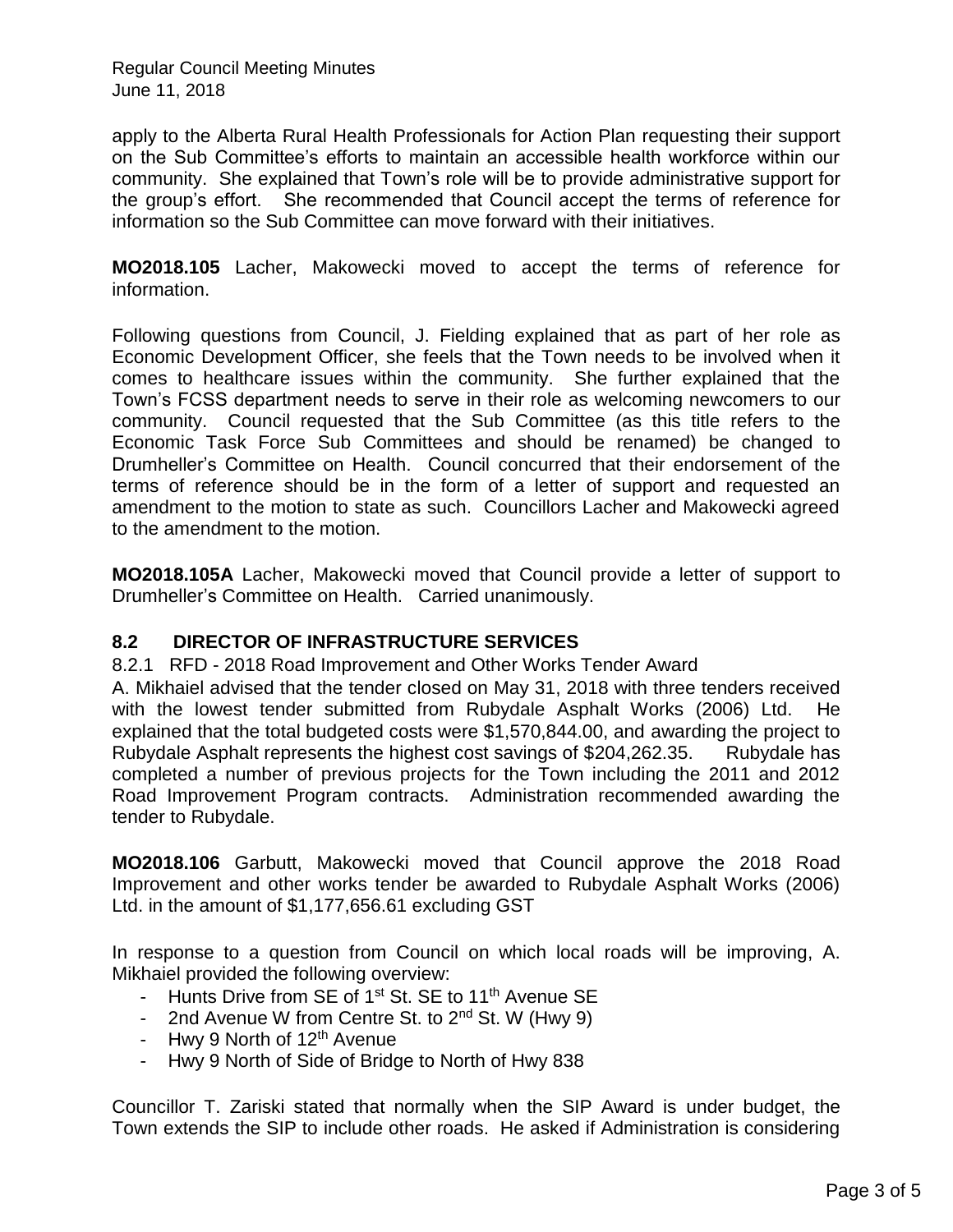Regular Council Meeting Minutes June 11, 2018

apply to the Alberta Rural Health Professionals for Action Plan requesting their support on the Sub Committee's efforts to maintain an accessible health workforce within our community. She explained that Town's role will be to provide administrative support for the group's effort. She recommended that Council accept the terms of reference for information so the Sub Committee can move forward with their initiatives.

**MO2018.105** Lacher, Makowecki moved to accept the terms of reference for information.

Following questions from Council, J. Fielding explained that as part of her role as Economic Development Officer, she feels that the Town needs to be involved when it comes to healthcare issues within the community. She further explained that the Town's FCSS department needs to serve in their role as welcoming newcomers to our community. Council requested that the Sub Committee (as this title refers to the Economic Task Force Sub Committees and should be renamed) be changed to Drumheller's Committee on Health. Council concurred that their endorsement of the terms of reference should be in the form of a letter of support and requested an amendment to the motion to state as such. Councillors Lacher and Makowecki agreed to the amendment to the motion.

**MO2018.105A** Lacher, Makowecki moved that Council provide a letter of support to Drumheller's Committee on Health. Carried unanimously.

#### **8.2 DIRECTOR OF INFRASTRUCTURE SERVICES**

8.2.1 RFD - 2018 Road Improvement and Other Works Tender Award

A. Mikhaiel advised that the tender closed on May 31, 2018 with three tenders received with the lowest tender submitted from Rubydale Asphalt Works (2006) Ltd. He explained that the total budgeted costs were \$1,570,844.00, and awarding the project to Rubydale Asphalt represents the highest cost savings of \$204,262.35. Rubydale has completed a number of previous projects for the Town including the 2011 and 2012 Road Improvement Program contracts. Administration recommended awarding the tender to Rubydale.

**MO2018.106** Garbutt, Makowecki moved that Council approve the 2018 Road Improvement and other works tender be awarded to Rubydale Asphalt Works (2006) Ltd. in the amount of \$1,177,656.61 excluding GST

In response to a question from Council on which local roads will be improving, A. Mikhaiel provided the following overview:

- Hunts Drive from SE of 1<sup>st</sup> St. SE to 11<sup>th</sup> Avenue SE
- 2nd Avenue W from Centre St. to 2<sup>nd</sup> St. W (Hwy 9)
- Hwy 9 North of  $12<sup>th</sup>$  Avenue
- Hwy 9 North of Side of Bridge to North of Hwy 838

Councillor T. Zariski stated that normally when the SIP Award is under budget, the Town extends the SIP to include other roads. He asked if Administration is considering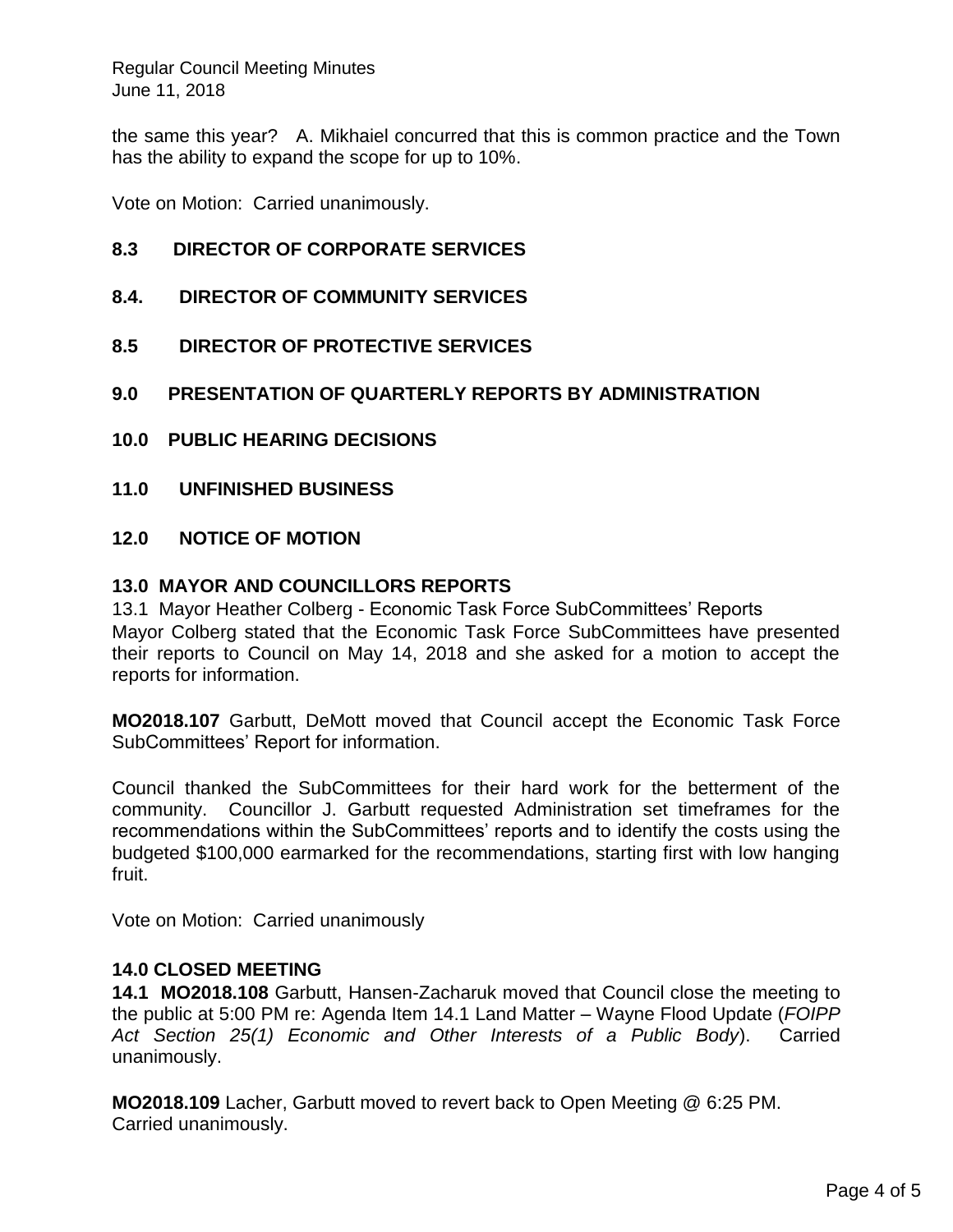Regular Council Meeting Minutes June 11, 2018

the same this year? A. Mikhaiel concurred that this is common practice and the Town has the ability to expand the scope for up to 10%.

Vote on Motion: Carried unanimously.

#### **8.3 DIRECTOR OF CORPORATE SERVICES**

- **8.4. DIRECTOR OF COMMUNITY SERVICES**
- **8.5 DIRECTOR OF PROTECTIVE SERVICES**
- **9.0 PRESENTATION OF QUARTERLY REPORTS BY ADMINISTRATION**
- **10.0 PUBLIC HEARING DECISIONS**
- **11.0 UNFINISHED BUSINESS**

#### **12.0 NOTICE OF MOTION**

#### **13.0 MAYOR AND COUNCILLORS REPORTS**

13.1 Mayor Heather Colberg - Economic Task Force SubCommittees' Reports Mayor Colberg stated that the Economic Task Force SubCommittees have presented their reports to Council on May 14, 2018 and she asked for a motion to accept the reports for information.

**MO2018.107** Garbutt, DeMott moved that Council accept the Economic Task Force SubCommittees' Report for information.

Council thanked the SubCommittees for their hard work for the betterment of the community. Councillor J. Garbutt requested Administration set timeframes for the recommendations within the SubCommittees' reports and to identify the costs using the budgeted \$100,000 earmarked for the recommendations, starting first with low hanging fruit.

Vote on Motion: Carried unanimously

#### **14.0 CLOSED MEETING**

**14.1 MO2018.108** Garbutt, Hansen-Zacharuk moved that Council close the meeting to the public at 5:00 PM re: Agenda Item 14.1 Land Matter – Wayne Flood Update (*FOIPP Act Section 25(1) Economic and Other Interests of a Public Body*). Carried unanimously.

**MO2018.109** Lacher, Garbutt moved to revert back to Open Meeting @ 6:25 PM. Carried unanimously.